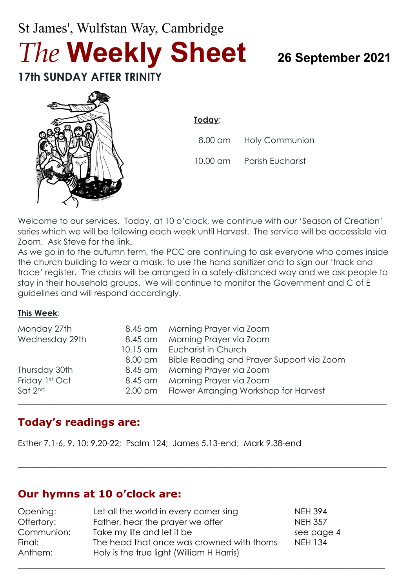# St James', Wulfstan Way, Cambridge *The* **Weekly Sheet <sup>26</sup> September <sup>2021</sup> 17th SUNDAY AFTER TRINITY**



**Today**:

8.00 am Holy Communion

10.00 am Parish Eucharist

Welcome to our services. Today, at 10 o'clock, we continue with our 'Season of Creation' series which we will be following each week until Harvest. The service will be accessible via Zoom. Ask Steve for the link.

As we go in to the autumn term, the PCC are continuing to ask everyone who comes inside the church building to wear a mask, to use the hand sanitizer and to sign our 'track and trace' register. The chairs will be arranged in a safely-distanced way and we ask people to stay in their household groups. We will continue to monitor the Government and C of E guidelines and will respond accordingly.

#### **This Week**:

| Monday 27th    | 8.45 am           | Morning Prayer via Zoom                   |
|----------------|-------------------|-------------------------------------------|
| Wednesday 29th | 8.45 am           | Morning Prayer via Zoom                   |
|                | 10.15 am          | Eucharist in Church                       |
|                | 8.00 pm           | Bible Reading and Prayer Support via Zoom |
| Thursday 30th  | 8.45 am           | Morning Prayer via Zoom                   |
| Friday 1st Oct | 8.45 am           | Morning Prayer via Zoom                   |
| Sat 2nd        | $2.00 \text{ pm}$ | Flower Arranging Workshop for Harvest     |
|                |                   |                                           |

### **Today's readings are:**

Esther 7.1-6, 9, 10; 9.20-22; Psalm 124; James 5.13-end; Mark 9.38-end

### **Our hymns at 10 o'clock are:**

| Opening:   | Let all the world in every corner sing     | <b>NEH 394</b> |  |
|------------|--------------------------------------------|----------------|--|
| Offertory: | Father, hear the prayer we offer           | <b>NEH 357</b> |  |
| Communion: | Take my life and let it be                 | see page 4     |  |
| Final:     | The head that once was crowned with thorns | <b>NEH 134</b> |  |
| Anthem:    | Holy is the true light (William H Harris)  |                |  |
|            |                                            |                |  |

 $\_$  , and the set of the set of the set of the set of the set of the set of the set of the set of the set of the set of the set of the set of the set of the set of the set of the set of the set of the set of the set of th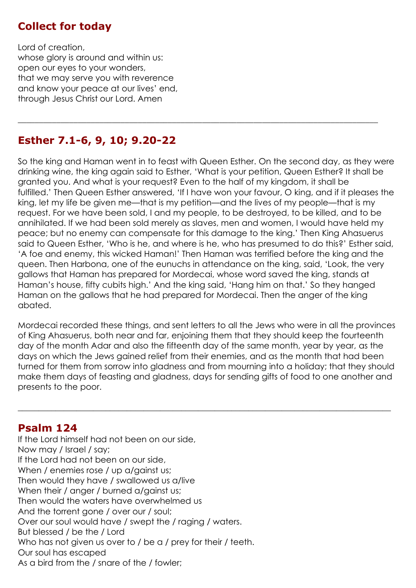### **Collect for today**

Lord of creation, whose glory is around and within us: open our eyes to your wonders, that we may serve you with reverence and know your peace at our lives' end, through Jesus Christ our Lord. Amen

# **Esther 7.1-6, 9, 10; 9.20-22**

So the king and Haman went in to feast with Queen Esther. On the second day, as they were drinking wine, the king again said to Esther, 'What is your petition, Queen Esther? It shall be granted you. And what is your request? Even to the half of my kingdom, it shall be fulfilled.' Then Queen Esther answered, 'If I have won your favour, O king, and if it pleases the king, let my life be given me—that is my petition—and the lives of my people—that is my request. For we have been sold, I and my people, to be destroyed, to be killed, and to be annihilated. If we had been sold merely as slaves, men and women, I would have held my peace; but no enemy can compensate for this damage to the king.' Then King Ahasuerus said to Queen Esther, 'Who is he, and where is he, who has presumed to do this?' Esther said, 'A foe and enemy, this wicked Haman!' Then Haman was terrified before the king and the queen. Then Harbona, one of the eunuchs in attendance on the king, said, 'Look, the very gallows that Haman has prepared for Mordecai, whose word saved the king, stands at Haman's house, fifty cubits high.' And the king said, 'Hang him on that.' So they hanged Haman on the gallows that he had prepared for Mordecai. Then the anger of the king abated.

\_\_\_\_\_\_\_\_\_\_\_\_\_\_\_\_\_\_\_\_\_\_\_\_\_\_\_\_\_\_\_\_\_\_\_\_\_\_\_\_\_\_\_\_\_\_\_\_\_\_\_\_\_\_\_\_\_\_\_\_\_\_\_\_\_\_\_\_\_\_\_\_\_\_\_\_\_\_\_\_\_\_\_\_

Mordecai recorded these things, and sent letters to all the Jews who were in all the provinces of King Ahasuerus, both near and far, enjoining them that they should keep the fourteenth day of the month Adar and also the fifteenth day of the same month, year by year, as the days on which the Jews gained relief from their enemies, and as the month that had been turned for them from sorrow into gladness and from mourning into a holiday; that they should make them days of feasting and gladness, days for sending gifts of food to one another and presents to the poor.

 $\_$  , and the set of the set of the set of the set of the set of the set of the set of the set of the set of the set of the set of the set of the set of the set of the set of the set of the set of the set of the set of th

#### **Psalm 124**

If the Lord himself had not been on our side, Now may / Israel / say; If the Lord had not been on our side, When / enemies rose / up a/gainst us; Then would they have / swallowed us a/live When their / anger / burned a/gainst us; Then would the waters have overwhelmed us And the torrent gone / over our / soul; Over our soul would have / swept the / raging / waters. But blessed / be the / Lord Who has not given us over to / be a / prey for their / teeth. Our soul has escaped As a bird from the / snare of the / fowler;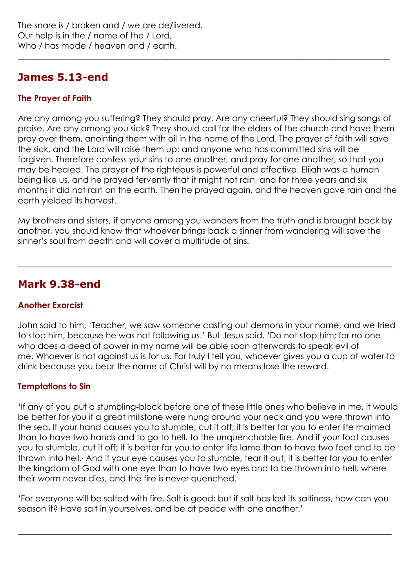# **James 5.13-end**

#### **The Prayer of Faith**

Are any among you suffering? They should pray. Are any cheerful? They should sing songs of praise. Are any among you sick? They should call for the elders of the church and have them pray over them, anointing them with oil in the name of the Lord. The prayer of faith will save the sick, and the Lord will raise them up; and anyone who has committed sins will be forgiven. Therefore confess your sins to one another, and pray for one another, so that you may be healed. The prayer of the righteous is powerful and effective. Elijah was a human being like us, and he prayed fervently that it might not rain, and for three years and six months it did not rain on the earth. Then he prayed again, and the heaven gave rain and the earth yielded its harvest.

\_\_\_\_\_\_\_\_\_\_\_\_\_\_\_\_\_\_\_\_\_\_\_\_\_\_\_\_\_\_\_\_\_\_\_\_\_\_\_\_\_\_\_\_\_\_\_\_\_\_\_\_\_\_\_\_\_\_\_\_\_\_\_\_\_\_\_\_\_\_\_\_\_\_\_\_\_\_\_\_\_\_\_\_\_\_

My brothers and sisters, if anyone among you wanders from the truth and is brought back by another, you should know that whoever brings back a sinner from wandering will save the sinner's soul from death and will cover a multitude of sins.

\_\_\_\_\_\_\_\_\_\_\_\_\_\_\_\_\_\_\_\_\_\_\_\_\_\_\_\_\_\_\_\_\_\_\_\_\_\_\_\_\_\_\_\_\_\_\_\_\_\_\_\_\_\_\_\_\_\_

# **Mark 9.38-end**

#### **Another Exorcist**

John said to him, 'Teacher, we saw someone casting out demons in your name, and we tried to stop him, because he was not following us.' But Jesus said, 'Do not stop him; for no one who does a deed of power in my name will be able soon afterwards to speak evil of me. Whoever is not against us is for us. For truly I tell you, whoever gives you a cup of water to drink because you bear the name of Christ will by no means lose the reward.

#### **Temptations to Sin**

'If any of you put a stumbling-block before one of these little ones who believe in me, it would be better for you if a great millstone were hung around your neck and you were thrown into the sea. If your hand causes you to stumble, cut it off; it is better for you to enter life maimed than to have two hands and to go to hell, to the unquenchable fire. And if your foot causes you to stumble, cut it off; it is better for you to enter life lame than to have two feet and to be thrown into hell., And if your eye causes you to stumble, tear it out; it is better for you to enter the kingdom of God with one eye than to have two eyes and to be thrown into hell, where their worm never dies, and the fire is never quenched.

'For everyone will be salted with fire. Salt is good; but if salt has lost its saltiness, how can you season it? Have salt in yourselves, and be at peace with one another.'

\_\_\_\_\_\_\_\_\_\_\_\_\_\_\_\_\_\_\_\_\_\_\_\_\_\_\_\_\_\_\_\_\_\_\_\_\_\_\_\_\_\_\_\_\_\_\_\_\_\_\_\_\_\_\_\_\_\_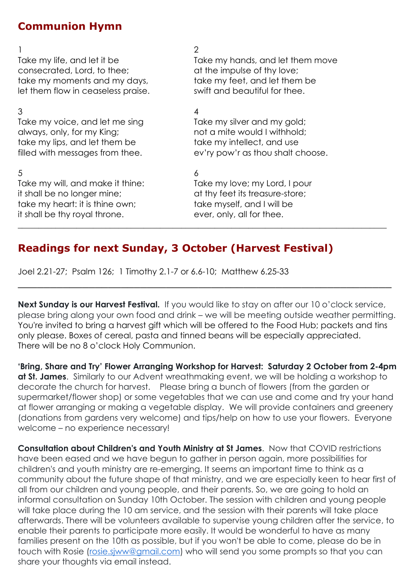### **Communion Hymn**

consecrated, Lord, to thee; and the impulse of thy love; take my moments and my days, take my feet, and let them be let them flow in ceaseless praise. Swift and beautiful for thee.

 $3 \overline{4}$ Take my voice, and let me sing Take my silver and my gold; always, only, for my King; not a mite would I withhold; take my lips, and let them be take my intellect, and use

 $5$  6 Take my will, and make it thine: Take my love; my Lord, I pour it shall be no longer mine; at thy feet its treasure-store; take my heart: it is thine own; take myself, and I will be it shall be thy royal throne. ever, only, all for thee.

#### $1$  2

Take my life, and let it be Take my hands, and let them move

filled with messages from thee. ev'ry pow'r as thou shalt choose.

 $\_$  , and the set of the set of the set of the set of the set of the set of the set of the set of the set of the set of the set of the set of the set of the set of the set of the set of the set of the set of the set of th

### **Readings for next Sunday, 3 October (Harvest Festival)**

Joel 2.21-27; Psalm 126; 1 Timothy 2.1-7 or 6.6-10; Matthew 6.25-33

**Next Sunday is our Harvest Festival.** If you would like to stay on after our 10 o'clock service, please bring along your own food and drink – we will be meeting outside weather permitting. You're invited to bring a harvest gift which will be offered to the Food Hub; packets and tins only please. Boxes of cereal, pasta and tinned beans will be especially appreciated. There will be no 8 o'clock Holy Communion.

\_\_\_\_\_\_\_\_\_\_\_\_\_\_\_\_\_\_\_\_\_\_\_\_\_\_\_\_\_\_\_\_\_\_\_\_\_\_\_\_\_\_\_\_\_\_\_\_\_\_\_\_\_\_\_\_\_\_

**'Bring, Share and Try' Flower Arranging Workshop for Harvest: Saturday 2 October from 2-4pm at St. James**. Similarly to our Advent wreathmaking event, we will be holding a workshop to decorate the church for harvest. Please bring a bunch of flowers (from the garden or supermarket/flower shop) or some vegetables that we can use and come and try your hand at flower arranging or making a vegetable display. We will provide containers and greenery (donations from gardens very welcome) and tips/help on how to use your flowers. Everyone welcome – no experience necessary!

**Consultation about Children's and Youth Ministry at St James**. Now that COVID restrictions have been eased and we have begun to gather in person again, more possibilities for children's and youth ministry are re-emerging. It seems an important time to think as a community about the future shape of that ministry, and we are especially keen to hear first of all from our children and young people, and their parents. So, we are going to hold an informal consultation on Sunday 10th October. The session with children and young people will take place during the 10 am service, and the session with their parents will take place afterwards. There will be volunteers available to supervise young children after the service, to enable their parents to participate more easily. It would be wonderful to have as many families present on the 10th as possible, but if you won't be able to come, please do be in touch with Rosie [\(rosie.sjww@gmail.com\)](mailto:rosie.sjww@gmail.com) who will send you some prompts so that you can share your thoughts via email instead.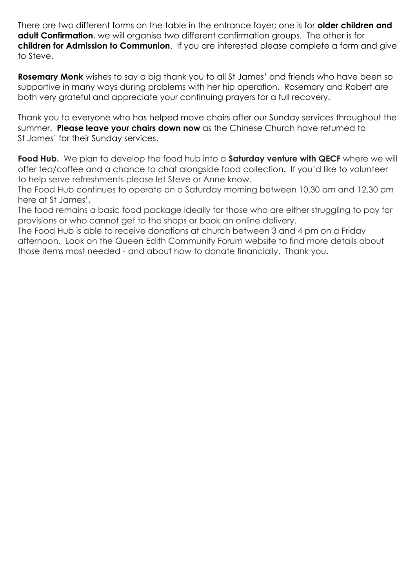There are two different forms on the table in the entrance foyer; one is for **older children and adult Confirmation**, we will organise two different confirmation groups. The other is for **children for Admission to Communion**. If you are interested please complete a form and give to Steve.

**Rosemary Monk** wishes to say a big thank you to all St James' and friends who have been so supportive in many ways during problems with her hip operation. Rosemary and Robert are both very grateful and appreciate your continuing prayers for a full recovery.

Thank you to everyone who has helped move chairs after our Sunday services throughout the summer. **Please leave your chairs down now** as the Chinese Church have returned to St James' for their Sunday services.

**Food Hub.** We plan to develop the food hub into a **Saturday venture with QECF** where we will offer tea/coffee and a chance to chat alongside food collection**.** If you'd like to volunteer to help serve refreshments please let Steve or Anne know.

The Food Hub continues to operate on a Saturday morning between 10.30 am and 12.30 pm here at St James'.

The food remains a basic food package ideally for those who are either struggling to pay for provisions or who cannot get to the shops or book an online delivery.

The Food Hub is able to receive donations at church between 3 and 4 pm on a Friday afternoon. Look on the Queen Edith Community Forum website to find more details about those items most needed - and about how to donate financially. Thank you.